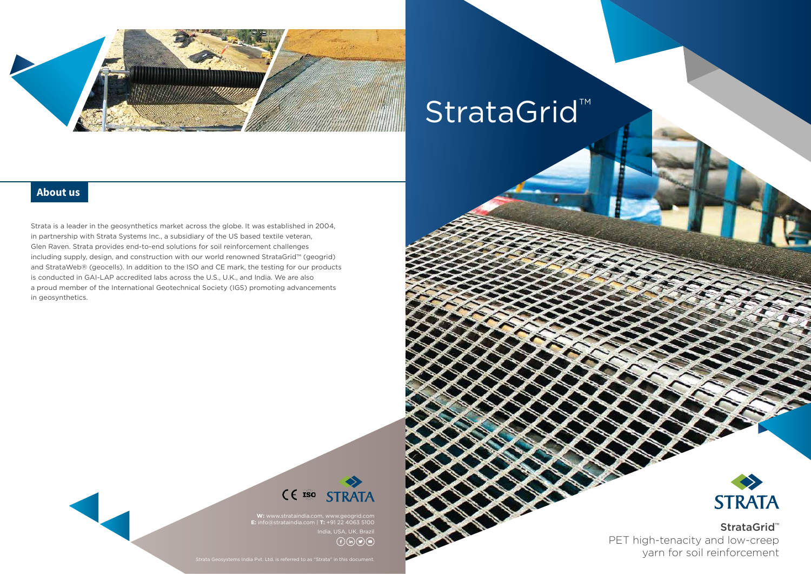

# StrataGrid™

**W:** www.strataindia.com, www.geogrid.com **E:** info@strataindia.com | **T:** +91 22 4063 5100  $\binom{1}{f}$  (in )  $\binom{g}{g}$ 



StrataGrid™ PET high-tenacity and low-creep yarn for soil reinforcement

Strata is a leader in the geosynthetics market across the globe. It was established in 2004, in partnership with Strata Systems Inc., a subsidiary of the US based textile veteran, Glen Raven. Strata provides end-to-end solutions for soil reinforcement challenges including supply, design, and construction with our world renowned StrataGrid™ (geogrid) and StrataWeb® (geocells). In addition to the ISO and CE mark, the testing for our products is conducted in GAI-LAP accredited labs across the U.S., U.K., and India. We are also a proud member of the International Geotechnical Society (IGS) promoting advancements in geosynthetics.



#### **About us**